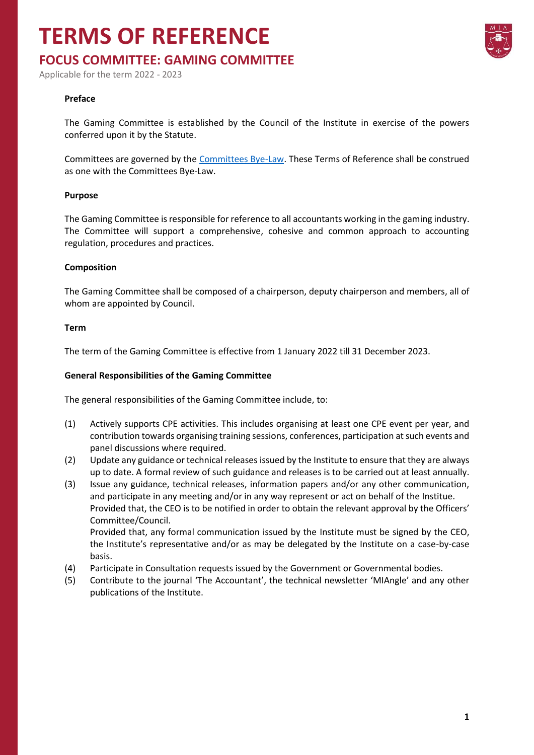## **TERMS OF REFERENCE**

### **FOCUS COMMITTEE: GAMING COMMITTEE**

Applicable for the term 2022 - 2023

#### **Preface**

The Gaming Committee is established by the Council of the Institute in exercise of the powers conferred upon it by the Statute.

Committees are governed by the [Committees Bye-Law.](https://www.miamalta.org/Statute-and-Bye-Laws) These Terms of Reference shall be construed as one with the Committees Bye-Law.

#### **Purpose**

The Gaming Committee is responsible for reference to all accountants working in the gaming industry. The Committee will support a comprehensive, cohesive and common approach to accounting regulation, procedures and practices.

#### **Composition**

The Gaming Committee shall be composed of a chairperson, deputy chairperson and members, all of whom are appointed by Council.

#### **Term**

The term of the Gaming Committee is effective from 1 January 2022 till 31 December 2023.

#### **General Responsibilities of the Gaming Committee**

The general responsibilities of the Gaming Committee include, to:

- (1) Actively supports CPE activities. This includes organising at least one CPE event per year, and contribution towards organising training sessions, conferences, participation at such events and panel discussions where required.
- (2) Update any guidance or technical releases issued by the Institute to ensure that they are always up to date. A formal review of such guidance and releases is to be carried out at least annually.
- (3) Issue any guidance, technical releases, information papers and/or any other communication, and participate in any meeting and/or in any way represent or act on behalf of the Institue. Provided that, the CEO is to be notified in order to obtain the relevant approval by the Officers' Committee/Council.

Provided that, any formal communication issued by the Institute must be signed by the CEO, the Institute's representative and/or as may be delegated by the Institute on a case-by-case basis.

- (4) Participate in Consultation requests issued by the Government or Governmental bodies.
- (5) Contribute to the journal 'The Accountant', the technical newsletter 'MIAngle' and any other publications of the Institute.